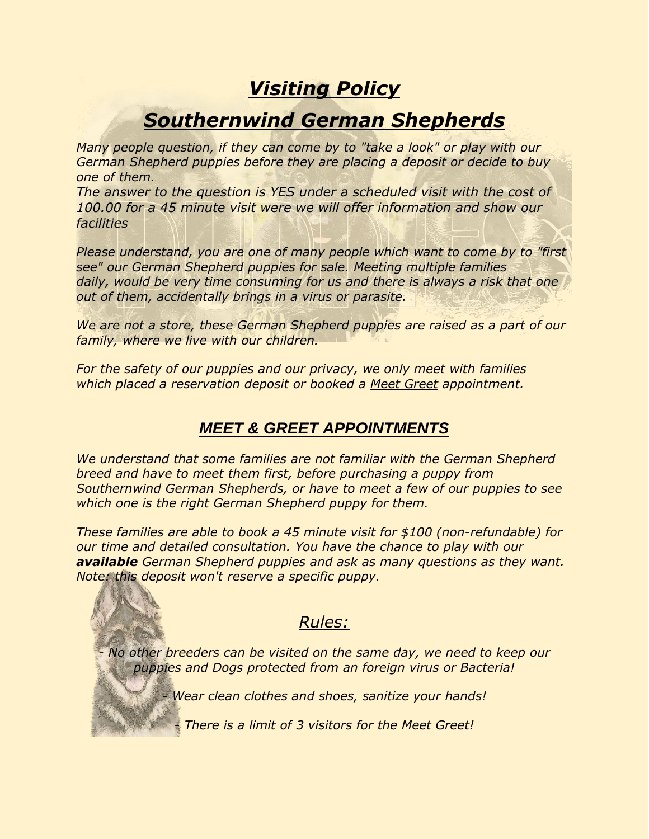## *Visiting Policy*

## *Southernwind German Shepherds*

*Many people question, if they can come by to "take a look" or play with our German Shepherd puppies before they are placing a deposit or decide to buy one of them.*

*The answer to the question is YES under a scheduled visit with the cost of 100.00 for a 45 minute visit were we will offer information and show our facilities*

*Please understand, you are one of many people which want to come by to "first see" our German Shepherd puppies for sale. Meeting multiple families daily, would be very time consuming for us and there is always a risk that one out of them, accidentally brings in a virus or parasite.*

*We are not a store, these German Shepherd puppies are raised as a part of our family, where we live with our children.*

*For the safety of our puppies and our privacy, we only meet with families which placed a reservation deposit or booked a Meet Greet appointment.*

## *MEET & GREET APPOINTMENTS*

*We understand that some families are not familiar with the German Shepherd breed and have to meet them first, before purchasing a puppy from Southernwind German Shepherds, or have to meet a few of our puppies to see which one is the right German Shepherd puppy for them.*

*These families are able to book a 45 minute visit for \$100 (non-refundable) for our time and detailed consultation. You have the chance to play with our available German Shepherd puppies and ask as many questions as they want. Note: this deposit won't reserve a specific puppy.*

## *Rules:*

*- No other breeders can be visited on the same day, we need to keep our puppies and Dogs protected from an foreign virus or Bacteria!*

*- Wear clean clothes and shoes, sanitize your hands!*

*- There is a limit of 3 visitors for the Meet Greet!*